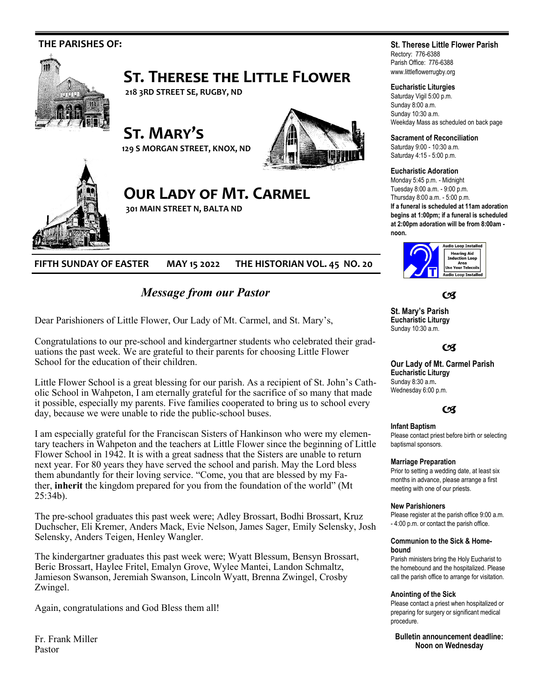

**FIFTH SUNDAY OF EASTER MAY 15 2022 THE HISTORIAN VOL. 45 NO. 20**

# *Message from our Pastor*

Dear Parishioners of Little Flower, Our Lady of Mt. Carmel, and St. Mary's,

Congratulations to our pre-school and kindergartner students who celebrated their graduations the past week. We are grateful to their parents for choosing Little Flower School for the education of their children.

Little Flower School is a great blessing for our parish. As a recipient of St. John's Catholic School in Wahpeton, I am eternally grateful for the sacrifice of so many that made it possible, especially my parents. Five families cooperated to bring us to school every day, because we were unable to ride the public-school buses.

I am especially grateful for the Franciscan Sisters of Hankinson who were my elementary teachers in Wahpeton and the teachers at Little Flower since the beginning of Little Flower School in 1942. It is with a great sadness that the Sisters are unable to return next year. For 80 years they have served the school and parish. May the Lord bless them abundantly for their loving service. "Come, you that are blessed by my Father, **inherit** the kingdom prepared for you from the foundation of the world" (Mt 25:34b).

The pre-school graduates this past week were; Adley Brossart, Bodhi Brossart, Kruz Duchscher, Eli Kremer, Anders Mack, Evie Nelson, James Sager, Emily Selensky, Josh Selensky, Anders Teigen, Henley Wangler.

The kindergartner graduates this past week were; Wyatt Blessum, Bensyn Brossart, Beric Brossart, Haylee Fritel, Emalyn Grove, Wylee Mantei, Landon Schmaltz, Jamieson Swanson, Jeremiah Swanson, Lincoln Wyatt, Brenna Zwingel, Crosby Zwingel.

Again, congratulations and God Bless them all!

Fr. Frank Miller Pastor

## **St. Therese Little Flower Parish**

Rectory: 776-6388 Parish Office: 776-6388 www.littleflowerrugby.org

### **Eucharistic Liturgies**

Saturday Vigil 5:00 p.m. Sunday 8:00 a.m. Sunday 10:30 a.m. Weekday Mass as scheduled on back page

**Sacrament of Reconciliation**

Saturday 9:00 - 10:30 a.m. Saturday 4:15 - 5:00 p.m.

#### **Eucharistic Adoration**

Monday 5:45 p.m. - Midnight Tuesday 8:00 a.m. - 9:00 p.m. Thursday 8:00 a.m. - 5:00 p.m. **If a funeral is scheduled at 11am adoration begins at 1:00pm; if a funeral is scheduled at 2:00pm adoration will be from 8:00am -**



**C** 

**St. Mary's Parish Eucharistic Liturgy**  Sunday 10:30 a.m.

#### $C<sup>q</sup>$

**Our Lady of Mt. Carmel Parish Eucharistic Liturgy**  Sunday 8:30 a.m**.**  Wednesday 6:00 p.m.

# $C<sub>3</sub>$

### **Infant Baptism**

Please contact priest before birth or selecting baptismal sponsors.

#### **Marriage Preparation**

Prior to setting a wedding date, at least six months in advance, please arrange a first meeting with one of our priests.

#### **New Parishioners**

Please register at the parish office 9:00 a.m. - 4:00 p.m. or contact the parish office.

#### **Communion to the Sick & Homebound**

Parish ministers bring the Holy Eucharist to the homebound and the hospitalized. Please call the parish office to arrange for visitation.

#### **Anointing of the Sick**

Please contact a priest when hospitalized or preparing for surgery or significant medical procedure.

**Bulletin announcement deadline: Noon on Wednesday**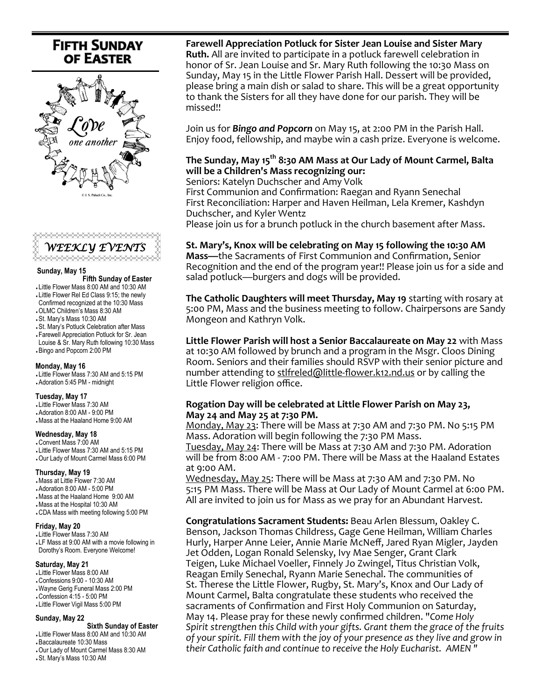# **FIFTH SUNDAY OF EASTER**





#### **Sunday, May 15**

 **Fifth Sunday of Easter** 

- Little Flower Mass 8:00 AM and 10:30 AM
- Little Flower Rel Ed Class 9:15; the newly Confirmed recognized at the 10:30 Mass
- OLMC Children's Mass 8:30 AM
- St. Mary's Mass 10:30 AM
- St. Mary's Potluck Celebration after Mass
- Farewell Appreciation Potluck for Sr. Jean Louise & Sr. Mary Ruth following 10:30 Mass
- Bingo and Popcorn 2:00 PM

#### **Monday, May 16**

 Little Flower Mass 7:30 AM and 5:15 PM Adoration 5:45 PM - midnight

#### **Tuesday, May 17**

- Little Flower Mass 7:30 AM
- Adoration 8:00 AM 9:00 PM Mass at the Haaland Home 9:00 AM

#### **Wednesday, May 18**

 Convent Mass 7:00 AM Little Flower Mass 7:30 AM and 5:15 PM Our Lady of Mount Carmel Mass 6:00 PM

#### **Thursday, May 19**

 Mass at Little Flower 7:30 AM Adoration 8:00 AM - 5:00 PM Mass at the Haaland Home 9:00 AM Mass at the Hospital 10:30 AM CDA Mass with meeting following 5:00 PM

#### **Friday, May 20**

 Little Flower Mass 7:30 AM LF Mass at 9:00 AM with a movie following in Dorothy's Room. Everyone Welcome!

#### **Saturday, May 21**

- Little Flower Mass 8:00 AM
- Confessions 9:00 10:30 AM
- Wayne Gerig Funeral Mass 2:00 PM
- Confession 4:15 5:00 PM Little Flower Vigil Mass 5:00 PM
- 

#### **Sunday, May 22**

 **Sixth Sunday of Easter** 

- Little Flower Mass 8:00 AM and 10:30 AM Baccalaureate 10:30 Mass
- Our Lady of Mount Carmel Mass 8:30 AM
- St. Mary's Mass 10:30 AM

# **Farewell Appreciation Potluck for Sister Jean Louise and Sister Mary**

**Ruth.** All are invited to participate in a potluck farewell celebration in honor of Sr. Jean Louise and Sr. Mary Ruth following the 10:30 Mass on Sunday, May 15 in the Little Flower Parish Hall. Dessert will be provided, please bring a main dish or salad to share. This will be a great opportunity to thank the Sisters for all they have done for our parish. They will be missed!!

Join us for *Bingo and Popcorn* on May 15, at 2:00 PM in the Parish Hall. Enjoy food, fellowship, and maybe win a cash prize. Everyone is welcome.

# **The Sunday, May 15th 8:30 AM Mass at Our Lady of Mount Carmel, Balta will be a Children's Mass recognizing our:**

Seniors: Katelyn Duchscher and Amy Volk

First Communion and Confirmation: Raegan and Ryann Senechal First Reconciliation: Harper and Haven Heilman, Lela Kremer, Kashdyn Duchscher, and Kyler Wentz

Please join us for a brunch potluck in the church basement after Mass.

# **St. Mary's, Knox will be celebrating on May 15 following the 10:30 AM**

**Mass—**the Sacraments of First Communion and Confirmation, Senior Recognition and the end of the program year!! Please join us for a side and salad potluck—burgers and dogs will be provided.

**The Catholic Daughters will meet Thursday, May 19** starting with rosary at 5:00 PM, Mass and the business meeting to follow. Chairpersons are Sandy Mongeon and Kathryn Volk.

**Little Flower Parish will host a Senior Baccalaureate on May 22** with Mass at 10:30 AM followed by brunch and a program in the Msgr. Cloos Dining Room. Seniors and their families should RSVP with their senior picture and number attending to stlfreled@little-[flower.k12.nd.us](mailto:stlfreled@little-flower.k12.nd.us) or by calling the Little Flower religion office.

### **Rogation Day will be celebrated at Little Flower Parish on May 23, May 24 and May 25 at 7:30 PM.**

Monday, May 23: There will be Mass at 7:30 AM and 7:30 PM. No 5:15 PM Mass. Adoration will begin following the 7:30 PM Mass.

Tuesday, May 24: There will be Mass at 7:30 AM and 7:30 PM. Adoration will be from 8:00 AM - 7:00 PM. There will be Mass at the Haaland Estates at 9:00 AM.

Wednesday, May 25: There will be Mass at 7:30 AM and 7:30 PM. No 5:15 PM Mass. There will be Mass at Our Lady of Mount Carmel at 6:00 PM. All are invited to join us for Mass as we pray for an Abundant Harvest.

**Congratulations Sacrament Students:** Beau Arlen Blessum, Oakley C. Benson, Jackson Thomas Childress, Gage Gene Heilman, William Charles Hurly, Harper Anne Leier, Annie Marie McNeff, Jared Ryan Migler, Jayden Jet Odden, Logan Ronald Selensky, Ivy Mae Senger, Grant Clark Teigen, Luke Michael Voeller, Finnely Jo Zwingel, Titus Christian Volk, Reagan Emily Senechal, Ryann Marie Senechal. The communities of St. Therese the Little Flower, Rugby, St. Mary's, Knox and Our Lady of Mount Carmel, Balta congratulate these students who received the sacraments of Confirmation and First Holy Communion on Saturday, May 14. Please pray for these newly confirmed children. "*Come Holy Spirit strengthen this Child with your gifts. Grant them the grace of the fruits of your spirit. Fill them with the joy of your presence as they live and grow in their Catholic faith and continue to receive the Holy Eucharist. AMEN "*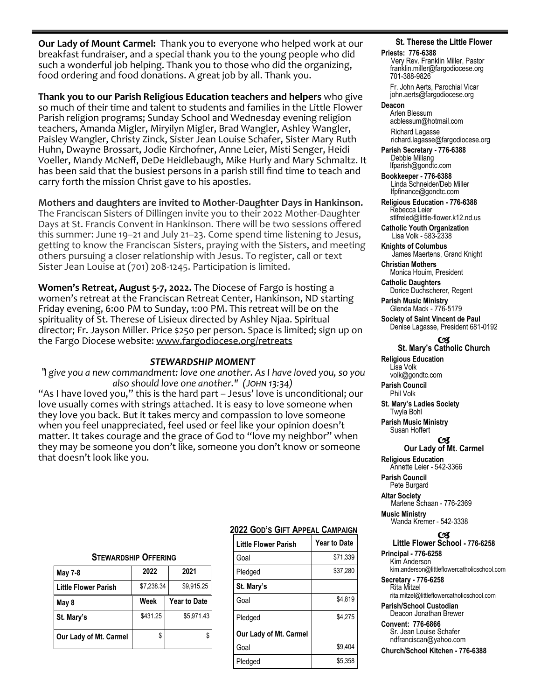**Our Lady of Mount Carmel:** Thank you to everyone who helped work at our breakfast fundraiser, and a special thank you to the young people who did such a wonderful job helping. Thank you to those who did the organizing, food ordering and food donations. A great job by all. Thank you.

**Thank you to our Parish Religious Education teachers and helpers** who give so much of their time and talent to students and families in the Little Flower Parish religion programs; Sunday School and Wednesday evening religion teachers, Amanda Migler, Miryilyn Migler, Brad Wangler, Ashley Wangler, Paisley Wangler, Christy Zinck, Sister Jean Louise Schafer, Sister Mary Ruth Huhn, Dwayne Brossart, Jodie Kirchofner, Anne Leier, Misti Senger, Heidi Voeller, Mandy McNeff, DeDe Heidlebaugh, Mike Hurly and Mary Schmaltz. It has been said that the busiest persons in a parish still find time to teach and carry forth the mission Christ gave to his apostles.

**Mothers and daughters are invited to Mother-Daughter Days in Hankinson.**  The Franciscan Sisters of Dillingen invite you to their 2022 Mother-Daughter Days at St. Francis Convent in Hankinson. There will be two sessions offered this summer: June 19–21 and July 21–23. Come spend time listening to Jesus, getting to know the Franciscan Sisters, praying with the Sisters, and meeting others pursuing a closer relationship with Jesus. To register, call or text Sister Jean Louise at (701) 208-1245. Participation is limited.

**Women's Retreat, August 5-7, 2022.** The Diocese of Fargo is hosting a women's retreat at the Franciscan Retreat Center, Hankinson, ND starting Friday evening, 6:00 PM to Sunday, 1:00 PM. This retreat will be on the spirituality of St. Therese of Lisieux directed by Ashley Njaa. Spiritual director; Fr. Jayson Miller. Price \$250 per person. Space is limited; sign up on the Fargo Diocese website: [www.fargodiocese.org/retreats](http://www.fargodiocese.org/retreats)

### *STEWARDSHIP MOMENT*

"*I give you a new commandment: love one another. As I have loved you, so you also should love one another." (John 13:34)*

"As I have loved you," this is the hard part – Jesus' love is unconditional; our love usually comes with strings attached. It is easy to love someone when they love you back. But it takes mercy and compassion to love someone when you feel unappreciated, feel used or feel like your opinion doesn't matter. It takes courage and the grace of God to "love my neighbor" when they may be someone you don't like, someone you don't know or someone that doesn't look like you.

#### **STEWARDSHIP OFFERING**

| <b>May 7-8</b>         | 2022       | 2021                |  |
|------------------------|------------|---------------------|--|
| Little Flower Parish   | \$7,238.34 | \$9,915.25          |  |
| May 8                  | Week       | <b>Year to Date</b> |  |
| St. Mary's             | \$431.25   | \$5.971.43          |  |
| Our Lady of Mt. Carmel | \$         |                     |  |

### **2022 GOD'S GIFT APPEAL CAMPAIGN**

| <b>Little Flower Parish</b> | <b>Year to Date</b> |
|-----------------------------|---------------------|
| Goal                        | \$71.339            |
| Pledged                     | \$37.280            |
| St. Mary's                  |                     |
| Goal                        | \$4,819             |
| Pledged                     | \$4,275             |
| Our Lady of Mt. Carmel      |                     |
| Goal                        | \$9.404             |
| Pledged                     | \$5.358             |
|                             |                     |

#### **St. Therese the Little Flower**

#### **Priests: 776-6388**

Very Rev. Franklin Miller, Pastor franklin.miller@fargodiocese.org 701-388-9826 Fr. John Aerts, Parochial Vicar

 john.aerts@fargodiocese.org **Deacon**

 Arlen Blessum acblessum@hotmail.com Richard Lagasse richard.lagasse@fargodiocese.org

**Parish Secretary - 776-6388** Debbie Millang lfparish@gondtc.com

**Bookkeeper - 776-6388** Linda Schneider/Deb Miller lfpfinance@gondtc.com

**Religious Education - 776-6388** Rebecca Leier [stlfreled@little-flower.k12.nd.us](mailto:stlfreled@little-flower.k12.nd.us) 

**Catholic Youth Organization** Lisa Volk - 583-2338

**Knights of Columbus** James Maertens, Grand Knight

**Christian Mothers** Monica Houim, President

**Catholic Daughters** Dorice Duchscherer, Regent

**Parish Music Ministry** Glenda Mack - 776-5179

**Society of Saint Vincent de Paul** Denise Lagasse, President 681-0192

#### OЯ **St. Mary's Catholic Church**

**Religious Education**  Lisa Volk volk@gondtc.com

**Parish Council**  Phil Volk

**St. Mary's Ladies Society**  Twyla Bohl

**Parish Music Ministry** Susan Hoffert

#### OЗ **Our Lady of Mt. Carmel**

**Religious Education**  Annette Leier - 542-3366

**Parish Council**  Pete Burgard

**Altar Society**  Marlene Schaan - 776-2369 **Music Ministry** Wanda Kremer - 542-3338

#### 6X)

**Little Flower School - 776-6258 Principal - 776-6258**

 Kim Anderson kim.anderson@littleflowercatholicschool.com

**Secretary - 776-6258** Rita Mitzel rita.mitzel@littleflowercatholicschool.com

**Parish/School Custodian** Deacon Jonathan Brewer

**Convent: 776-6866** Sr. Jean Louise Schafer ndfranciscan@yahoo.com

**Church/School Kitchen - 776-6388**